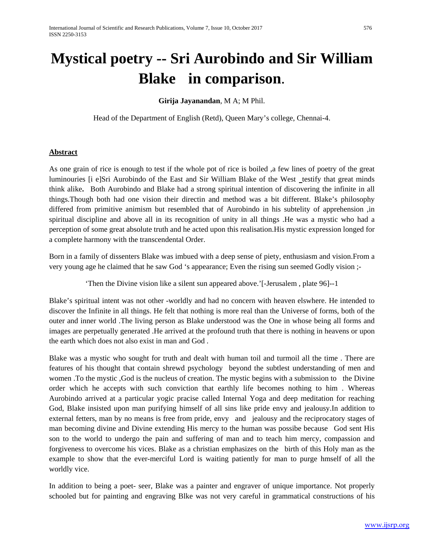# **Mystical poetry -- Sri Aurobindo and Sir William Blake in comparison**.

**Girija Jayanandan**, M A; M Phil.

Head of the Department of English (Retd), Queen Mary's college, Chennai-4.

## **Abstract**

As one grain of rice is enough to test if the whole pot of rice is boiled ,a few lines of poetry of the great luminouries [i e]Sri Aurobindo of the East and Sir William Blake of the West testify that great minds think alike**.** Both Aurobindo and Blake had a strong spiritual intention of discovering the infinite in all things.Though both had one vision their directin and method was a bit different. Blake's philosophy differed from primitive animism but resembled that of Aurobindo in his subtelity of apprehension ,in spiritual discipline and above all in its recognition of unity in all things .He was a mystic who had a perception of some great absolute truth and he acted upon this realisation.His mystic expression longed for a complete harmony with the transcendental Order.

Born in a family of dissenters Blake was imbued with a deep sense of piety, enthusiasm and vision.From a very young age he claimed that he saw God 's appearance; Even the rising sun seemed Godly vision ;-

'Then the Divine vision like a silent sun appeared above.'[-Jerusalem , plate 96]--1

Blake's spiritual intent was not other -worldly and had no concern with heaven elswhere. He intended to discover the Infinite in all things. He felt that nothing is more real than the Universe of forms, both of the outer and inner world .The living person as Blake understood was the One in whose being all forms and images are perpetually generated .He arrived at the profound truth that there is nothing in heavens or upon the earth which does not also exist in man and God .

Blake was a mystic who sought for truth and dealt with human toil and turmoil all the time . There are features of his thought that contain shrewd psychology beyond the subtlest understanding of men and women .To the mystic ,God is the nucleus of creation. The mystic begins with a submission to the Divine order which he accepts with such conviction that earthly life becomes nothing to him . Whereas Aurobindo arrived at a particular yogic pracise called Internal Yoga and deep meditation for reaching God, Blake insisted upon man purifying himself of all sins like pride envy and jealousy.In addition to external fetters, man by no means is free from pride, envy and jealousy and the reciprocatory stages of man becoming divine and Divine extending His mercy to the human was possibe because God sent His son to the world to undergo the pain and suffering of man and to teach him mercy, compassion and forgiveness to overcome his vices. Blake as a christian emphasizes on the birth of this Holy man as the example to show that the ever-merciful Lord is waiting patiently for man to purge hmself of all the worldly vice.

In addition to being a poet- seer, Blake was a painter and engraver of unique importance. Not properly schooled but for painting and engraving Blke was not very careful in grammatical constructions of his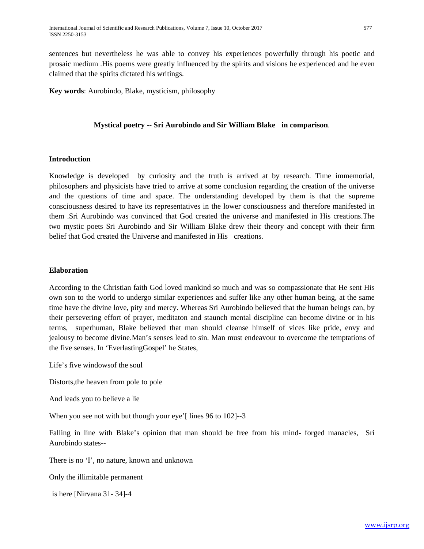sentences but nevertheless he was able to convey his experiences powerfully through his poetic and prosaic medium .His poems were greatly influenced by the spirits and visions he experienced and he even claimed that the spirits dictated his writings.

**Key words**: Aurobindo, Blake, mysticism, philosophy

#### **Mystical poetry -- Sri Aurobindo and Sir William Blake in comparison**.

#### **Introduction**

Knowledge is developed by curiosity and the truth is arrived at by research. Time immemorial, philosophers and physicists have tried to arrive at some conclusion regarding the creation of the universe and the questions of time and space. The understanding developed by them is that the supreme consciousness desired to have its representatives in the lower consciousness and therefore manifested in them .Sri Aurobindo was convinced that God created the universe and manifested in His creations.The two mystic poets Sri Aurobindo and Sir William Blake drew their theory and concept with their firm belief that God created the Universe and manifested in His creations.

#### **Elaboration**

According to the Christian faith God loved mankind so much and was so compassionate that He sent His own son to the world to undergo similar experiences and suffer like any other human being, at the same time have the divine love, pity and mercy. Whereas Sri Aurobindo believed that the human beings can, by their persevering effort of prayer, meditaton and staunch mental discipline can become divine or in his terms, superhuman, Blake believed that man should cleanse himself of vices like pride, envy and jealousy to become divine.Man's senses lead to sin. Man must endeavour to overcome the temptations of the five senses. In 'EverlastingGospel' he States,

Life's five windowsof the soul

Distorts,the heaven from pole to pole

And leads you to believe a lie

When you see not with but though your eye'[ lines 96 to 102]--3

Falling in line with Blake's opinion that man should be free from his mind- forged manacles, Sri Aurobindo states--

There is no 'I', no nature, known and unknown

Only the illimitable permanent

is here [Nirvana 31- 34]-4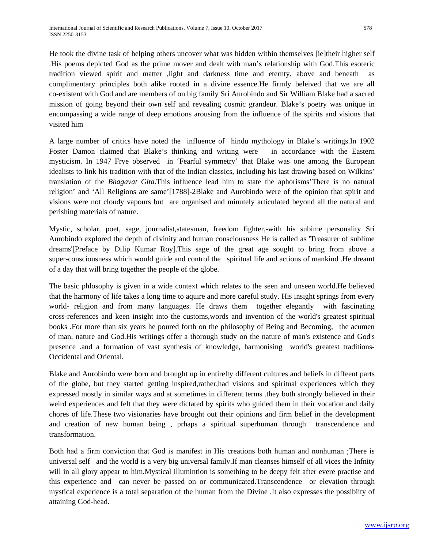He took the divine task of helping others uncover what was hidden within themselves [ie]their higher self .His poems depicted God as the prime mover and dealt with man's relationship with God.This esoteric tradition viewed spirit and matter ,light and darkness time and eternty, above and beneath as complimentary principles both alike rooted in a divine essence.He firmly beleived that we are all co-existent with God and are members of on big family Sri Aurobindo and Sir William Blake had a sacred mission of going beyond their own self and revealing cosmic grandeur. Blake's poetry was unique in encompassing a wide range of deep emotions arousing from the influence of the spirits and visions that visited him

A large number of critics have noted the influence of hindu mythology in Blake's writings.In 1902 Foster Damon claimed that Blake's thinking and writing were in accordance with the Eastern mysticism. In 1947 Frye observed in 'Fearful symmetry' that Blake was one among the European idealists to link his tradition with that of the Indian classics, including his last drawing based on Wilkins' translation of the *Bhagavat Gita*.This influence lead him to state the aphorisms'There is no natural religion' and 'All Religions are same'[1788]-2Blake and Aurobindo were of the opinion that spirit and visions were not cloudy vapours but are organised and minutely articulated beyond all the natural and perishing materials of nature.

Mystic, scholar, poet, sage, journalist,statesman, freedom fighter,-with his subime personality Sri Aurobindo explored the depth of divinity and human consciousness He is called as 'Treasurer of sublime dreams'[Preface by Dilip Kumar Roy].This sage of the great age sought to bring from above a super-consciousness which would guide and control the spiritual life and actions of mankind .He dreamt of a day that will bring together the people of the globe.

The basic phlosophy is given in a wide context which relates to the seen and unseen world.He believed that the harmony of life takes a long time to aquire and more careful study. His insight springs from every world- religion and from many languages. He draws them together elegantly with fascinating cross-references and keen insight into the customs,words and invention of the world's greatest spiritual books .For more than six years he poured forth on the philosophy of Being and Becoming, the acumen of man, nature and God.His writings offer a thorough study on the nature of man's existence and God's presence .and a formation of vast synthesis of knowledge, harmonising world's greatest traditions-Occidental and Oriental.

Blake and Aurobindo were born and brought up in entirelty different cultures and beliefs in diffeent parts of the globe, but they started getting inspired,rather,had visions and spiritual experiences which they expressed mostly in similar ways and at sometimes in different terms .they both strongly believed in their weird experiences and felt that they were dictated by spirits who guided them in their vocation and daily chores of life.These two visionaries have brought out their opinions and firm belief in the development and creation of new human being , prhaps a spiritual superhuman through transcendence and transformation.

Both had a firm conviction that God is manifest in His creations both human and nonhuman ;There is universal self and the world is a very big universal family.If man cleanses himself of all vices the Infnity will in all glory appear to him. Mystical illumintion is something to be deepy felt after evere practise and this experience and can never be passed on or communicated.Transcendence or elevation through mystical experience is a total separation of the human from the Divine .It also expresses the possibiity of attaining God-head.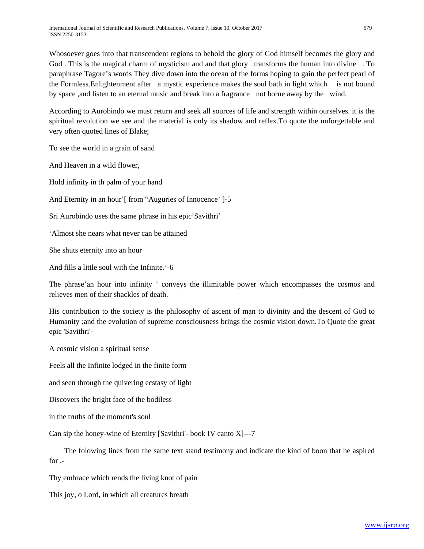Whosoever goes into that transcendent regions to behold the glory of God himself becomes the glory and God . This is the magical charm of mysticism and and that glory transforms the human into divine . To paraphrase Tagore's words They dive down into the ocean of the forms hoping to gain the perfect pearl of the Formless.Enlightenment after a mystic experience makes the soul bath in light which is not bound by space ,and listen to an eternal music and break into a fragrance not borne away by the wind.

According to Aurobindo we must return and seek all sources of life and strength within ourselves. it is the spiritual revolution we see and the material is only its shadow and reflex.To quote the unforgettable and very often quoted lines of Blake;

To see the world in a grain of sand

And Heaven in a wild flower,

Hold infinity in th palm of your hand

And Eternity in an hour'[ from "Auguries of Innocence' 1-5

Sri Aurobindo uses the same phrase in his epic'Savithri'

'Almost she nears what never can be attained

She shuts eternity into an hour

And fills a little soul with the Infinite.'-6

The phrase'an hour into infinity ' conveys the illimitable power which encompasses the cosmos and relieves men of their shackles of death.

His contribution to the society is the philosophy of ascent of man to divinity and the descent of God to Humanity ;and the evolution of supreme consciousness brings the cosmic vision down.To Quote the great epic 'Savithri'-

A cosmic vision a spiritual sense

Feels all the Infinite lodged in the finite form

and seen through the quivering ecstasy of light

Discovers the bright face of the bodiless

in the truths of the moment's soul

Can sip the honey-wine of Eternity [Savithri'- book IV canto X]---7

 The folowing lines from the same text stand testimony and indicate the kind of boon that he aspired for .-

Thy embrace which rends the living knot of pain

This joy, o Lord, in which all creatures breath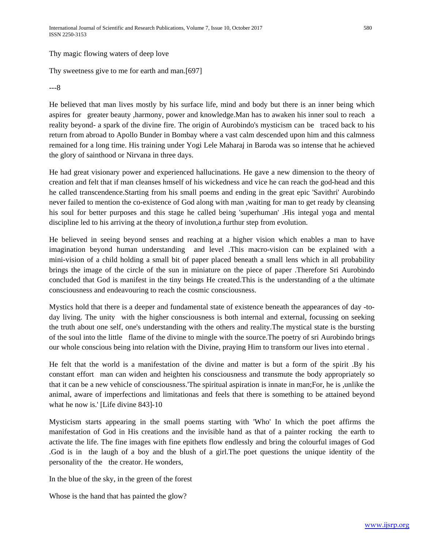Thy magic flowing waters of deep love

Thy sweetness give to me for earth and man.[697]

---8

He believed that man lives mostly by his surface life, mind and body but there is an inner being which aspires for greater beauty ,harmony, power and knowledge.Man has to awaken his inner soul to reach a reality beyond- a spark of the divine fire. The origin of Aurobindo's mysticism can be traced back to his return from abroad to Apollo Bunder in Bombay where a vast calm descended upon him and this calmness remained for a long time. His training under Yogi Lele Maharaj in Baroda was so intense that he achieved the glory of sainthood or Nirvana in three days.

He had great visionary power and experienced hallucinations. He gave a new dimension to the theory of creation and felt that if man cleanses hmself of his wickedness and vice he can reach the god-head and this he called transcendence.Starting from his small poems and ending in the great epic 'Savithri' Aurobindo never failed to mention the co-existence of God along with man ,waiting for man to get ready by cleansing his soul for better purposes and this stage he called being 'superhuman' .His integal yoga and mental discipline led to his arriving at the theory of involution,a furthur step from evolution.

He believed in seeing beyond senses and reaching at a higher vision which enables a man to have imagination beyond human understanding and level .This macro-vision can be explained with a mini-vision of a child holding a small bit of paper placed beneath a small lens which in all probability brings the image of the circle of the sun in miniature on the piece of paper .Therefore Sri Aurobindo concluded that God is manifest in the tiny beings He created.This is the understanding of a the ultimate consciousness and endeavouring to reach the cosmic consciousness.

Mystics hold that there is a deeper and fundamental state of existence beneath the appearances of day -today living. The unity with the higher consciousness is both internal and external, focussing on seeking the truth about one self, one's understanding with the others and reality.The mystical state is the bursting of the soul into the little flame of the divine to mingle with the source.The poetry of sri Aurobindo brings our whole conscious being into relation with the Divine, praying Him to transform our lives into eternal .

He felt that the world is a manifestation of the divine and matter is but a form of the spirit .By his constant effort man can widen and heighten his consciousness and transmute the body appropriately so that it can be a new vehicle of consciousness.'The spiritual aspiration is innate in man;For, he is ,unlike the animal, aware of imperfections and limitationas and feels that there is something to be attained beyond what he now is.' [Life divine 843]-10

Mysticism starts appearing in the small poems starting with 'Who' In which the poet affirms the manifestation of God in His creations and the invisible hand as that of a painter rocking the earth to activate the life. The fine images with fine epithets flow endlessly and bring the colourful images of God .God is in the laugh of a boy and the blush of a girl.The poet questions the unique identity of the personality of the the creator. He wonders,

In the blue of the sky, in the green of the forest

Whose is the hand that has painted the glow?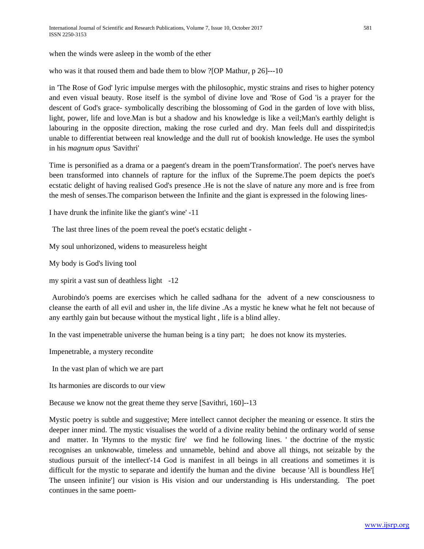when the winds were asleep in the womb of the ether

who was it that roused them and bade them to blow ?[OP Mathur, p 26]---10

in 'The Rose of God' lyric impulse merges with the philosophic, mystic strains and rises to higher potency and even visual beauty. Rose itself is the symbol of divine love and 'Rose of God 'is a prayer for the descent of God's grace- symbolically describing the blossoming of God in the garden of love with bliss, light, power, life and love.Man is but a shadow and his knowledge is like a veil;Man's earthly delight is labouring in the opposite direction, making the rose curled and dry. Man feels dull and disspirited;is unable to differentiat between real knowledge and the dull rut of bookish knowledge. He uses the symbol in his *magnum opus '*Savithri'

Time is personified as a drama or a paegent's dream in the poem'Transformation'. The poet's nerves have been transformed into channels of rapture for the influx of the Supreme.The poem depicts the poet's ecstatic delight of having realised God's presence .He is not the slave of nature any more and is free from the mesh of senses.The comparison between the Infinite and the giant is expressed in the folowing lines-

I have drunk the infinite like the giant's wine' -11

The last three lines of the poem reveal the poet's ecstatic delight -

My soul unhorizoned, widens to measureless height

My body is God's living tool

my spirit a vast sun of deathless light -12

Aurobindo's poems are exercises which he called sadhana for the advent of a new consciousness to cleanse the earth of all evil and usher in, the life divine .As a mystic he knew what he felt not because of any earthly gain but because without the mystical light , life is a blind alley.

In the vast impenetrable universe the human being is a tiny part; he does not know its mysteries.

Impenetrable, a mystery recondite

In the vast plan of which we are part

Its harmonies are discords to our view

Because we know not the great theme they serve [Savithri, 160]--13

Mystic poetry is subtle and suggestive; Mere intellect cannot decipher the meaning or essence. It stirs the deeper inner mind. The mystic visualises the world of a divine reality behind the ordinary world of sense and matter. In 'Hymns to the mystic fire' we find he following lines. ' the doctrine of the mystic recognises an unknowable, timeless and unnameble, behind and above all things, not seizable by the studious pursuit of the intellect'-14 God is manifest in all beings in all creations and sometimes it is difficult for the mystic to separate and identify the human and the divine because 'All is boundless He'[ The unseen infinite'] our vision is His vision and our understanding is His understanding. The poet continues in the same poem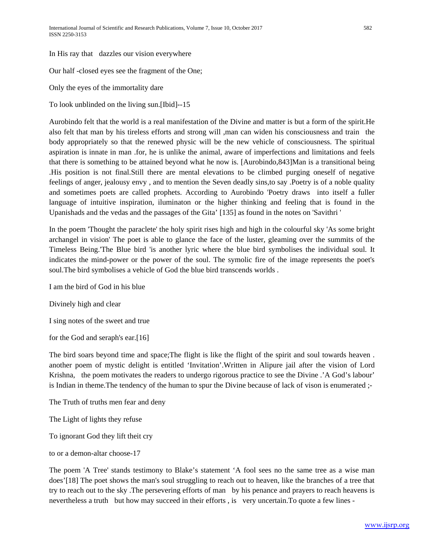In His ray that dazzles our vision everywhere

Our half -closed eyes see the fragment of the One;

Only the eyes of the immortality dare

To look unblinded on the living sun.[Ibid]--15

Aurobindo felt that the world is a real manifestation of the Divine and matter is but a form of the spirit.He also felt that man by his tireless efforts and strong will ,man can widen his consciousness and train the body appropriately so that the renewed physic will be the new vehicle of consciousness. The spiritual aspiration is innate in man .for, he is unlike the animal, aware of imperfections and limitations and feels that there is something to be attained beyond what he now is. [Aurobindo,843]Man is a transitional being .His position is not final.Still there are mental elevations to be climbed purging oneself of negative feelings of anger, jealousy envy , and to mention the Seven deadly sins,to say .Poetry is of a noble quality and sometimes poets are called prophets. According to Aurobindo 'Poetry draws into itself a fuller language of intuitive inspiration, iluminaton or the higher thinking and feeling that is found in the Upanishads and the vedas and the passages of the Gita' [135] as found in the notes on 'Savithri '

In the poem 'Thought the paraclete' the holy spirit rises high and high in the colourful sky 'As some bright archangel in vision' The poet is able to glance the face of the luster, gleaming over the summits of the Timeless Being.'The Blue bird 'is another lyric where the blue bird symbolises the individual soul. It indicates the mind-power or the power of the soul. The symolic fire of the image represents the poet's soul.The bird symbolises a vehicle of God the blue bird transcends worlds .

I am the bird of God in his blue

Divinely high and clear

I sing notes of the sweet and true

for the God and seraph's ear.[16]

The bird soars beyond time and space;The flight is like the flight of the spirit and soul towards heaven . another poem of mystic delight is entitled 'Invitation'.Written in Alipure jail after the vision of Lord Krishna, the poem motivates the readers to undergo rigorous practice to see the Divine .'A God's labour' is Indian in theme.The tendency of the human to spur the Divine because of lack of vison is enumerated ;-

The Truth of truths men fear and deny

The Light of lights they refuse

To ignorant God they lift theit cry

to or a demon-altar choose-17

The poem 'A Tree' stands testimony to Blake's statement 'A fool sees no the same tree as a wise man does'[18] The poet shows the man's soul struggling to reach out to heaven, like the branches of a tree that try to reach out to the sky .The persevering efforts of man by his penance and prayers to reach heavens is nevertheless a truth but how may succeed in their efforts , is very uncertain.To quote a few lines -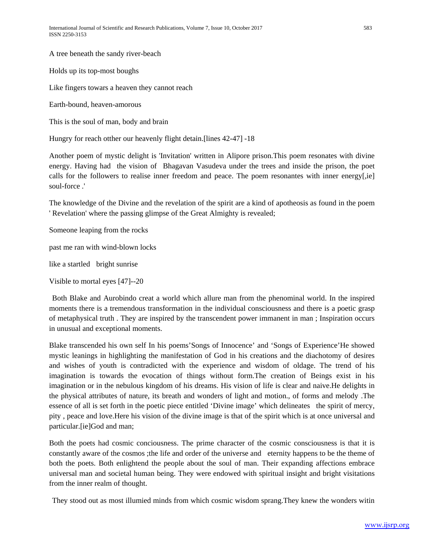A tree beneath the sandy river-beach

Holds up its top-most boughs

Like fingers towars a heaven they cannot reach

Earth-bound, heaven-amorous

This is the soul of man, body and brain

Hungry for reach otther our heavenly flight detain.[lines 42-47] -18

Another poem of mystic delight is 'Invitation' written in Alipore prison.This poem resonates with divine energy. Having had the vision of Bhagavan Vasudeva under the trees and inside the prison, the poet calls for the followers to realise inner freedom and peace. The poem resonantes with inner energy[,ie] soul-force .'

The knowledge of the Divine and the revelation of the spirit are a kind of apotheosis as found in the poem ' Revelation' where the passing glimpse of the Great Almighty is revealed;

Someone leaping from the rocks

past me ran with wind-blown locks

like a startled bright sunrise

Visible to mortal eyes [47]--20

Both Blake and Aurobindo creat a world which allure man from the phenominal world. In the inspired moments there is a tremendous transformation in the individual consciousness and there is a poetic grasp of metaphysical truth . They are inspired by the transcendent power immanent in man ; Inspiration occurs in unusual and exceptional moments.

Blake transcended his own self In his poems'Songs of Innocence' and 'Songs of Experience'He showed mystic leanings in highlighting the manifestation of God in his creations and the diachotomy of desires and wishes of youth is contradicted with the experience and wisdom of oldage. The trend of his imagination is towards the evocation of things without form.The creation of Beings exist in his imagination or in the nebulous kingdom of his dreams. His vision of life is clear and naive.He delights in the physical attributes of nature, its breath and wonders of light and motion., of forms and melody .The essence of all is set forth in the poetic piece entitled 'Divine image' which delineates the spirit of mercy, pity , peace and love.Here his vision of the divine image is that of the spirit which is at once universal and particular.[ie]God and man;

Both the poets had cosmic conciousness. The prime character of the cosmic consciousness is that it is constantly aware of the cosmos ;the life and order of the universe and eternity happens to be the theme of both the poets. Both enlightend the people about the soul of man. Their expanding affections embrace universal man and societal human being. They were endowed with spiritual insight and bright visitations from the inner realm of thought.

They stood out as most illumied minds from which cosmic wisdom sprang.They knew the wonders witin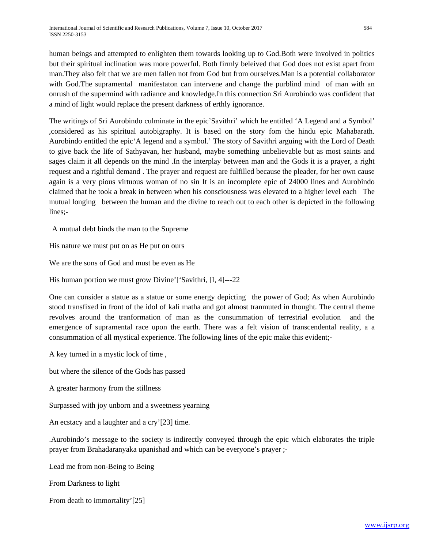human beings and attempted to enlighten them towards looking up to God.Both were involved in politics but their spiritual inclination was more powerful. Both firmly beleived that God does not exist apart from man.They also felt that we are men fallen not from God but from ourselves.Man is a potential collaborator with God.The supramental manifestaton can intervene and change the purblind mind of man with an onrush of the supermind with radiance and knowledge.In this connection Sri Aurobindo was confident that a mind of light would replace the present darkness of erthly ignorance.

The writings of Sri Aurobindo culminate in the epic'Savithri' which he entitled 'A Legend and a Symbol' ,considered as his spiritual autobigraphy. It is based on the story fom the hindu epic Mahabarath. Aurobindo entitled the epic'A legend and a symbol.' The story of Savithri arguing with the Lord of Death to give back the life of Sathyavan, her husband, maybe something unbelievable but as most saints and sages claim it all depends on the mind .In the interplay between man and the Gods it is a prayer, a right request and a rightful demand . The prayer and request are fulfilled because the pleader, for her own cause again is a very pious virtuous woman of no sin It is an incomplete epic of 24000 lines and Aurobindo claimed that he took a break in between when his consciousness was elevated to a higher level each The mutual longing between the human and the divine to reach out to each other is depicted in the following lines;-

A mutual debt binds the man to the Supreme

His nature we must put on as He put on ours

We are the sons of God and must be even as He

His human portion we must grow Divine'['Savithri, [I, 4]---22

One can consider a statue as a statue or some energy depicting the power of God; As when Aurobindo stood transfixed in front of the idol of kali matha and got almost tranmuted in thought. The central theme revolves around the tranformation of man as the consummation of terrestrial evolution and the emergence of supramental race upon the earth. There was a felt vision of transcendental reality, a a consummation of all mystical experience. The following lines of the epic make this evident;-

A key turned in a mystic lock of time ,

but where the silence of the Gods has passed

A greater harmony from the stillness

Surpassed with joy unborn and a sweetness yearning

An ecstacy and a laughter and a cry'[23] time.

.Aurobindo's message to the society is indirectly conveyed through the epic which elaborates the triple prayer from Brahadaranyaka upanishad and which can be everyone's prayer ;-

Lead me from non-Being to Being

From Darkness to light

From death to immortality'[25]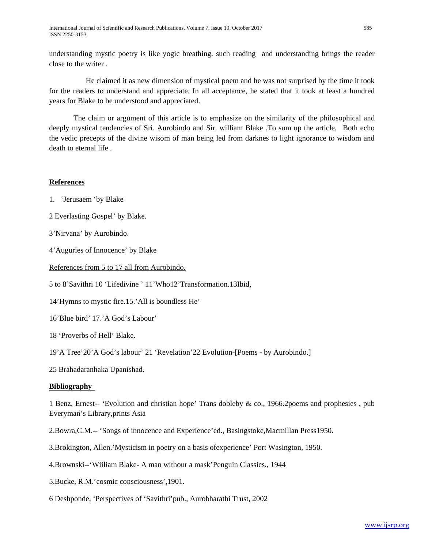understanding mystic poetry is like yogic breathing. such reading and understanding brings the reader close to the writer .

 He claimed it as new dimension of mystical poem and he was not surprised by the time it took for the readers to understand and appreciate. In all acceptance, he stated that it took at least a hundred years for Blake to be understood and appreciated.

 The claim or argument of this article is to emphasize on the similarity of the philosophical and deeply mystical tendencies of Sri. Aurobindo and Sir. william Blake .To sum up the article, Both echo the vedic precepts of the divine wisom of man being led from darknes to light ignorance to wisdom and death to eternal life .

# **References**

- 1. 'Jerusaem 'by Blake
- 2 Everlasting Gospel' by Blake.
- 3'Nirvana' by Aurobindo.
- 4'Auguries of Innocence' by Blake
- References from 5 to 17 all from Aurobindo.
- 5 to 8'Savithri 10 'Lifedivine ' 11'Who12'Transformation.13Ibid,
- 14'Hymns to mystic fire.15.'All is boundless He'
- 16'Blue bird' 17.'A God's Labour'
- 18 'Proverbs of Hell' Blake.
- 19'A Tree'20'A God's labour' 21 'Revelation'22 Evolution-[Poems by Aurobindo.]
- 25 Brahadaranhaka Upanishad.

## **Bibliography**

1 Benz, Ernest-- 'Evolution and christian hope' Trans dobleby & co., 1966.2poems and prophesies , pub Everyman's Library,prints Asia

- 2.Bowra,C.M.-- 'Songs of innocence and Experience'ed., Basingstoke,Macmillan Press1950.
- 3.Brokington, Allen.'Mysticism in poetry on a basis ofexperience' Port Wasington, 1950.
- 4.Brownski--'Wiiliam Blake- A man withour a mask'Penguin Classics., 1944
- 5.Bucke, R.M.'cosmic consciousness',1901.
- 6 Deshponde, 'Perspectives of 'Savithri'pub., Aurobharathi Trust, 2002